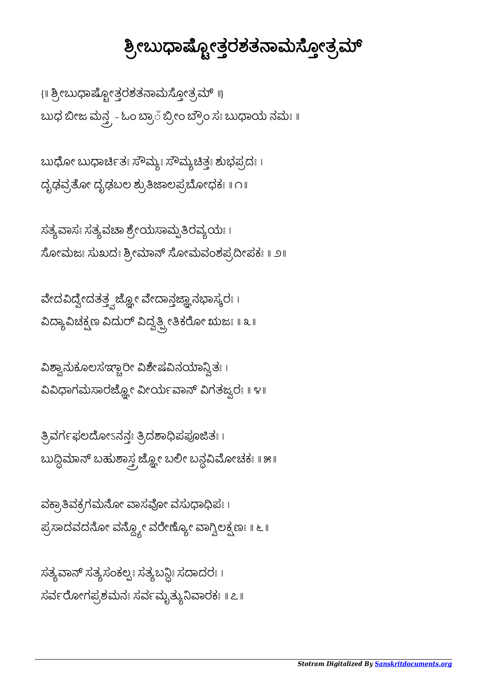## *Stotram Digitalized By [Sanskritdocuments.org](http://sanskritdocuments.org/)*

ಸತ್ಯವಾನ್ ಸತ್ಯಸಂಕಲ್ಪಃ ಸತ್ಯಬನ್ದಿಃ ಸದಾದರಃ । ಸರ್ವರೋಗಪ್ರಶಮನಃ ಸರ್ವಮೃತ್ಯುನಿವಾರಕಃ ॥ ೭॥

ವಕ್ರಾತಿವಕ್ರಗಮನೋ ವಾಸವೋ ವಸುಧಾಧಿಪಃ । ಪ್ರಸಾದವದನೋ ವನ್ದ್ಶೋ ವರೇಣ್ಯೋ ವಾಗ್ವಿಲಕ್ಷಣಃ ॥ ೬ ॥

ತ್ರಿವರ್ಗಫಲದೋಽನನಃ ತ್ರಿದಶಾಧಿಪಪೂಜಿತಃ । ಬುದ್ಧಿಮಾನ್ ಬಹುಶಾಸ್ತ್ರ ಜ್ಞೋ ಬಲೀ ಬನ್ದವಿಮೋಚಕಃ ॥ ೫॥

ವಿಶ್ವಾನುಕೂಲಸಞ್ಚಾರೀ ವಿಶೇಷವಿನಯಾನ್ವಿತಃ । ವಿವಿಧಾಗಮಸಾರಜ್ಞೋ ವೀರ್ಯವಾನ್ ವಿಗತಜ್ವರಃ ॥ ೪॥

ವೇದವಿದ್ವೇದತತ್ತ್ವಜ್ಹೋ ವೇದಾನ್ತಜ್ಞಾನಭಾಸ್ಕರಃ । ವಿದ್ಯಾವಿಚಕ್ಷಣ ವಿದುರ್ ವಿದ್ವತ್ಪ್ರೀತಿಕರೋ ಋಜಃ ॥ ೩ ॥

ಸತ್ಯವಾಸಃ ಸತ್ಯವಚಾ ಶ್ರೇಯಸಾಮ್ಪತಿರವ್ಯಯಃ। ಸೋಮಜಃ ಸುಖದಃ ಶ್ರೀಮಾನ್ ಸೋಮವಂಶಪ್ರದೀಪಕಃ ॥ ೨॥

ಬುಧ ಬೀಜ ಮನ್ತ್ರ - ಓಂ ಬ್ರಾ಼ ಬ್ರೀಂ ಬ್ರೌಂ ಸಃ ಬುಧಾಯ ನಮಃ ॥ ಬುಧೋ ಬುಧಾರ್ಚಿತಃ ಸೌಮ್ಯಃ ಸೌಮ್ಯಚಿತ್ತಃ ಶುಭಪ್ರದಃ ।

ದೃಢವೋ ದೃಢಬಲ ಶುಾಲಪೋಧಕಃ ॥ ೧॥

{ || ಶ್ರೀಬುಧಾಷ್ಪೋತ್ತರಶತನಾಮಸ್ಠೋತ್ರಮ್ ||}

## <u>ಶ್ರೀಬುಧಾಷ್ಟೋತ್ತರಶತನಾಮಸ್ತೋತ್ರಮ್</u>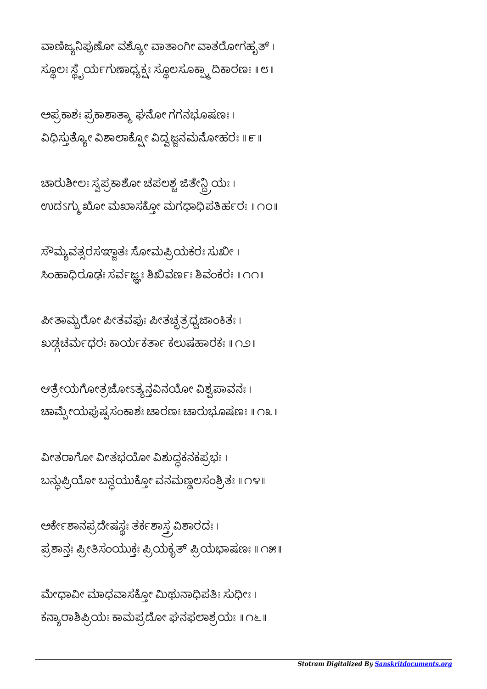ಮೇಧಾವೀ ಮಾಧವಾಸಕ್ತೋ ಮಿಥುನಾಧಿಪತಿಃ ಸುಧೀಃ । ಕನ್ಯಾರಾಶಿಪ್ರಿಯಃ ಕಾಮಪ್ರದೋ ಘನಫಲಾಶ್ರಯಃ ॥ ೧೬ ॥

ಅರ್ಕೇಶಾನಪ್ರದೇಷಸ್ಟಃ ತರ್ಕಶಾಸ್ತ್ರ ವಿಶಾರದಃ । ಪಾನಃ ೕಸಂಯುಕಃ ಯಕೃ ಯಾಷಣಃ ॥ ೧೫॥

ವೀತರಾಗೋ ವೀತಭಯೋ ವಿಶುದ್ಧಕನಕಪ್ರಭಃ । ಬನ್ದುಟ್ರಿಯೋ ಬನ್ದಯುಕ್ತೋ ವನಮಣ್ಣಲಸಂಶ್ರಿತಃ ॥ ೧೪ ॥

ಆತ್ರೇಯಗೋತ್ರಜೋಽತ್ಯನ್ಗವಿನಯೋ ವಿಶ್ವಪಾವನಃ । ಚಾಮ್ಪೇಯಪುಷ್ಪಸಂಕಾಶಃ ಚಾರಣಃ ಚಾರುಭೂಷಣಃ ॥ ೧೩ ॥

ಪೀತಾಮ್ಸೆರೋ ಪೀತವಪುಃ ಪೀತಚ್ಛತ್ರಧ್ವಜಾಂಕಿತಃ । ಖಡಚಮಧರಃ ಾಯಕಾ ಕಲುಷಾರಕಃ ॥ ೧೨॥

 $\vec{x}$ ೌಮ್ಯವತ್ಸರಸಞ್ಲಾತಃ ಸೋಮಪ್ರಿಯಕರಃ ಸುಖೀ। ಸಿಂಹಾಧಿರೂಢಃ ಸರ್ವಜ್ಞಃ ಶಿಖಿವರ್ಣಃ ಶಿವಂಕರಃ ॥ ೧೧॥

ಚಾರುಶೀಲಃ ಸ್ವಪ್ರಕಾಶೋ ಚಪಲಶ್ಚ ಜಿತೇನ್ದ್ರಿಯಃ । ಉದೆತಗ್ಮು ಖೋ ಮಖಾಸಕ್ತೋ ಮಗಧಾಧಿಪತಿರ್ಹರಃ ॥ ೧೦॥

ಅಪ್ರಕಾಶಃ ಪ್ರಕಾಶಾತ್ಮಾ ಘನೋ ಗಗನಭೂಷಣಃ । ವಿಧಿಸ್ತುತ್ಯೋ ವಿಶಾಲಾಕ್ಸ್ರೋ ವಿದ್ವಜ್ಞನಮನೋಹರಃ ॥ ೯ ॥

ವಾಣಿಜ್ಯನಿಪುಣೋ ವಶ್ಯೋ ವಾತಾಂಗೀ ವಾತರೋಗಹೃತ್ । ಸ್ಥೂಲಃ ಸ್ಟ್ರೈರ್ಯಗುಣಾಧ್ಯಕ್ಷಃ ಸ್ಥೂಲಸೂಕ್ಷ್ಮಾ ದಿಕಾರಣಃ ॥ ೮॥